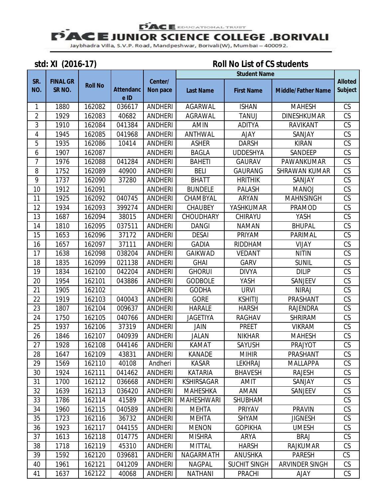### **PACE** EDUCATIONAL TRUST

## **FACE JUNIOR SCIENCE COLLEGE ,BORIVALI**

Jaybhadra Villa, S.V.P. Road, Mandpeshwar, Borivali(W), Mumbai - 400092.

## **std: XI (2016-17) Roll No List of CS students**

|                |                                       |                |                          |                            | <b>Student Name</b> |                     |                           |                                  |
|----------------|---------------------------------------|----------------|--------------------------|----------------------------|---------------------|---------------------|---------------------------|----------------------------------|
| SR.<br>NO.     | <b>FINAL GR</b><br>SR <sub>NO</sub> . | <b>Roll No</b> | <b>Attendanc</b><br>e ID | Center/<br><b>Non pace</b> | <b>Last Name</b>    | <b>First Name</b>   | <b>Middle/Father Name</b> | <b>Alloted</b><br><b>Subject</b> |
| 1              | 1880                                  | 162082         | 036617                   | <b>ANDHERI</b>             | <b>AGARWAL</b>      | <b>ISHAN</b>        | <b>MAHESH</b>             | CS                               |
| $\overline{2}$ | 1929                                  | 162083         | 40682                    | <b>ANDHERI</b>             | <b>AGRAWAL</b>      | <b>TANUJ</b>        | <b>DINESHKUMAR</b>        | CS                               |
| 3              | 1910                                  | 162084         | 041384                   | <b>ANDHERI</b>             | AMIN                | <b>ADITYA</b>       | RAVIKANT                  | CS                               |
| 4              | 1945                                  | 162085         | 041968                   | <b>ANDHERI</b>             | ANTHWAL             | <b>AJAY</b>         | SANJAY                    | CS                               |
| $\sqrt{5}$     | 1935                                  | 162086         | 10414                    | <b>ANDHERI</b>             | <b>ASHER</b>        | <b>DARSH</b>        | <b>KIRAN</b>              | CS                               |
| 6              | 1907                                  | 162087         |                          | <b>ANDHERI</b>             | <b>BAGLA</b>        | <b>UDDESHYA</b>     | SANDEEP                   | CS                               |
| 7              | 1976                                  | 162088         | 041284                   | <b>ANDHERI</b>             | <b>BAHETI</b>       | <b>GAURAV</b>       | PAWANKUMAR                | CS                               |
| 8              | 1752                                  | 162089         | 40900                    | <b>ANDHERI</b>             | <b>BELI</b>         | <b>GAURANG</b>      | <b>SHRAWAN KUMAR</b>      | CS                               |
| 9              | 1737                                  | 162090         | 37280                    | <b>ANDHERI</b>             | <b>BHATT</b>        | <b>HRITHIK</b>      | SANJAY                    | CS                               |
| 10             | 1912                                  | 162091         |                          | <b>ANDHERI</b>             | <b>BUNDELE</b>      | <b>PALASH</b>       | <b>MANOJ</b>              | CS                               |
| 11             | 1925                                  | 162092         | 040745                   | <b>ANDHERI</b>             | CHAMBYAL            | <b>ARYAN</b>        | <b>MAHNSINGH</b>          | CS                               |
| 12             | 1934                                  | 162093         | 399274                   | <b>ANDHERI</b>             | <b>CHAUBEY</b>      | YASHKUMAR           | PRAMOD                    | CS                               |
| 13             | 1687                                  | 162094         | 38015                    | <b>ANDHERI</b>             | CHOUDHARY           | CHIRAYU             | YASH                      | CS                               |
| 14             | 1810                                  | 162095         | 037511                   | <b>ANDHERI</b>             | <b>DANGI</b>        | <b>NAMAN</b>        | <b>BHUPAL</b>             | CS                               |
| 15             | 1653                                  | 162096         | 37172                    | <b>ANDHERI</b>             | <b>DESAI</b>        | PRIYAM              | PARIMAL                   | CS                               |
| 16             | 1657                                  | 162097         | 37111                    | <b>ANDHERI</b>             | <b>GADIA</b>        | RIDDHAM             | <b>VIJAY</b>              | CS                               |
| 17             | 1638                                  | 162098         | 038204                   | <b>ANDHERI</b>             | <b>GAIKWAD</b>      | <b>VEDANT</b>       | <b>NITIN</b>              | CS                               |
| 18             | 1835                                  | 162099         | 021138                   | <b>ANDHERI</b>             | <b>GHAI</b>         | <b>GARV</b>         | <b>SUNIL</b>              | CS                               |
| 19             | 1834                                  | 162100         | 042204                   | <b>ANDHERI</b>             | <b>GHORUI</b>       | <b>DIVYA</b>        | <b>DILIP</b>              | CS                               |
| 20             | 1954                                  | 162101         | 043886                   | <b>ANDHERI</b>             | <b>GODBOLE</b>      | YASH                | SANJEEV                   | CS                               |
| 21             | 1905                                  | 162102         |                          | <b>ANDHERI</b>             | <b>GODHA</b>        | <b>URVI</b>         | <b>NIRAJ</b>              | CS                               |
| 22             | 1919                                  | 162103         | 040043                   | <b>ANDHERI</b>             | <b>GORE</b>         | <b>KSHITIJ</b>      | PRASHANT                  | CS                               |
| 23             | 1807                                  | 162104         | 009637                   | <b>ANDHERI</b>             | <b>HARALE</b>       | <b>HARSH</b>        | <b>RAJENDRA</b>           | CS                               |
| 24             | 1750                                  | 162105         | 040766                   | <b>ANDHERI</b>             | <b>JAGETIYA</b>     | <b>RAGHAV</b>       | <b>SHRIRAM</b>            | CS                               |
| 25             | 1937                                  | 162106         | 37319                    | <b>ANDHERI</b>             | JAIN                | <b>PREET</b>        | <b>VIKRAM</b>             | CS                               |
| 26             | 1846                                  | 162107         | 040939                   | <b>ANDHERI</b>             | <b>JALAN</b>        | <b>NIKHAR</b>       | <b>MAHESH</b>             | CS                               |
| 27             | 1928                                  | 162108         | 044146                   | <b>ANDHERI</b>             | KAMAT               | SAYUSH              | <b>PRAJYOT</b>            | $\overline{\text{CS}}$           |
| 28             | 1647                                  | 162109         | 43831                    | ANDHERI                    | KANADE              | <b>MIHIR</b>        | PRASHANT                  | CS                               |
| 29             | 1569                                  | 162110         | 40108                    | Andheri                    | <b>KASAR</b>        | <b>LEKHRAJ</b>      | <b>MALLAPPA</b>           | CS                               |
| 30             | 1924                                  | 162111         | 041462                   | <b>ANDHERI</b>             | <b>KATARIA</b>      | <b>BHAVESH</b>      | <b>RAJESH</b>             | CS                               |
| 31             | 1700                                  | 162112         | 036668                   | <b>ANDHERI</b>             | <b>KSHIRSAGAR</b>   | AMIT                | SANJAY                    | CS                               |
| 32             | 1639                                  | 162113         | 036420                   | <b>ANDHERI</b>             | <b>MAHESHKA</b>     | AMAN                | SANJEEV                   | CS                               |
| 33             | 1786                                  | 162114         | 41589                    | <b>ANDHERI</b>             | <b>MAHESHWARI</b>   | <b>SHUBHAM</b>      |                           | CS                               |
| 34             | 1960                                  | 162115         | 040589                   | <b>ANDHERI</b>             | <b>MEHTA</b>        | PRIYAV              | <b>PRAVIN</b>             | CS                               |
| 35             | 1723                                  | 162116         | 36732                    | <b>ANDHERI</b>             | <b>MEHTA</b>        | SHYAM               | <b>JIGNESH</b>            | CS                               |
| 36             | 1923                                  | 162117         | 044155                   | <b>ANDHERI</b>             | <b>MENON</b>        | <b>GOPIKHA</b>      | <b>UMESH</b>              | CS                               |
| 37             | 1613                                  | 162118         | 014775                   | <b>ANDHERI</b>             | <b>MISHRA</b>       | ARYA                | <b>BRAJ</b>               | CS                               |
| 38             | 1718                                  | 162119         | 45310                    | <b>ANDHERI</b>             | <b>MITTAL</b>       | <b>HARSH</b>        | <b>RAJKUMAR</b>           | CS                               |
| 39             | 1592                                  | 162120         | 039681                   | <b>ANDHERI</b>             | NAGARMATH           | <b>ANUSHKA</b>      | <b>PARESH</b>             | CS                               |
| 40             | 1961                                  | 162121         | 041209                   | <b>ANDHERI</b>             | <b>NAGPAL</b>       | <b>SUCHIT SINGH</b> | ARVINDER SINGH            | CS                               |
| 41             | 1637                                  | 162122         | 40068                    | <b>ANDHERI</b>             | <b>NATHANI</b>      | <b>PRACHI</b>       | <b>AJAY</b>               | CS                               |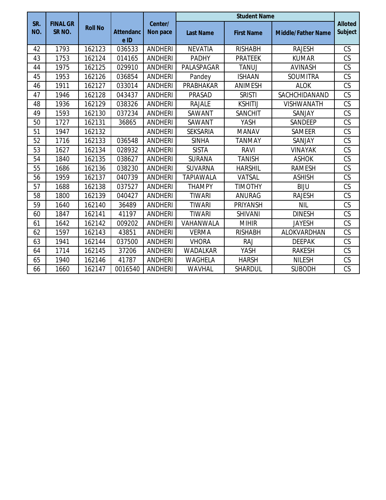|            |                                      |                |                          |                     | <b>Student Name</b> |                   |                           |                                  |  |
|------------|--------------------------------------|----------------|--------------------------|---------------------|---------------------|-------------------|---------------------------|----------------------------------|--|
| SR.<br>NO. | <b>FINAL GR</b><br>SR <sub>NO.</sub> | <b>Roll No</b> | <b>Attendanc</b><br>e ID | Center/<br>Non pace | <b>Last Name</b>    | <b>First Name</b> | <b>Middle/Father Name</b> | <b>Alloted</b><br><b>Subject</b> |  |
| 42         | 1793                                 | 162123         | 036533                   | <b>ANDHERI</b>      | <b>NEVATIA</b>      | <b>RISHABH</b>    | <b>RAJESH</b>             | CS                               |  |
| 43         | 1753                                 | 162124         | 014165                   | <b>ANDHERI</b>      | <b>PADHY</b>        | <b>PRATEEK</b>    | <b>KUMAR</b>              | CS                               |  |
| 44         | 1975                                 | 162125         | 029910                   | <b>ANDHERI</b>      | PALASPAGAR          | <b>TANUJ</b>      | <b>AVINASH</b>            | CS                               |  |
| 45         | 1953                                 | 162126         | 036854                   | <b>ANDHERI</b>      | Pandey              | <b>ISHAAN</b>     | <b>SOUMITRA</b>           | CS                               |  |
| 46         | 1911                                 | 162127         | 033014                   | <b>ANDHERI</b>      | <b>PRABHAKAR</b>    | <b>ANIMESH</b>    | <b>ALOK</b>               | CS                               |  |
| 47         | 1946                                 | 162128         | 043437                   | <b>ANDHERI</b>      | PRASAD              | <b>SRISTI</b>     | SACHCHIDANAND             | CS                               |  |
| 48         | 1936                                 | 162129         | 038326                   | <b>ANDHERI</b>      | <b>RAJALE</b>       | <b>KSHITIJ</b>    | <b>VISHWANATH</b>         | CS                               |  |
| 49         | 1593                                 | 162130         | 037234                   | <b>ANDHERI</b>      | SAWANT              | <b>SANCHIT</b>    | SANJAY                    | CS                               |  |
| 50         | 1727                                 | 162131         | 36865                    | <b>ANDHERI</b>      | SAWANT              | YASH              | SANDEEP                   | CS                               |  |
| 51         | 1947                                 | 162132         |                          | <b>ANDHERI</b>      | <b>SEKSARIA</b>     | <b>MANAV</b>      | SAMEER                    | CS                               |  |
| 52         | 1716                                 | 162133         | 036548                   | <b>ANDHERI</b>      | <b>SINHA</b>        | <b>TANMAY</b>     | SANJAY                    | CS                               |  |
| 53         | 1627                                 | 162134         | 028932                   | <b>ANDHERI</b>      | <b>SISTA</b>        | <b>RAVI</b>       | <b>VINAYAK</b>            | CS                               |  |
| 54         | 1840                                 | 162135         | 038627                   | <b>ANDHERI</b>      | SURANA              | <b>TANISH</b>     | <b>ASHOK</b>              | CS                               |  |
| 55         | 1686                                 | 162136         | 038230                   | <b>ANDHERI</b>      | <b>SUVARNA</b>      | <b>HARSHIL</b>    | <b>RAMESH</b>             | CS                               |  |
| 56         | 1959                                 | 162137         | 040739                   | <b>ANDHERI</b>      | <b>TAPIAWALA</b>    | VATSAL            | <b>ASHISH</b>             | CS                               |  |
| 57         | 1688                                 | 162138         | 037527                   | <b>ANDHERI</b>      | <b>THAMPY</b>       | <b>TIMOTHY</b>    | <b>BIJU</b>               | CS                               |  |
| 58         | 1800                                 | 162139         | 040427                   | <b>ANDHERI</b>      | <b>TIWARI</b>       | <b>ANURAG</b>     | <b>RAJESH</b>             | CS                               |  |
| 59         | 1640                                 | 162140         | 36489                    | <b>ANDHERI</b>      | <b>TIWARI</b>       | <b>PRIYANSH</b>   | <b>NIL</b>                | CS                               |  |
| 60         | 1847                                 | 162141         | 41197                    | <b>ANDHERI</b>      | <b>TIWARI</b>       | <b>SHIVANI</b>    | <b>DINESH</b>             | CS                               |  |
| 61         | 1642                                 | 162142         | 009202                   | <b>ANDHERI</b>      | VAHANWALA           | <b>MIHIR</b>      | <b>JAYESH</b>             | CS                               |  |
| 62         | 1597                                 | 162143         | 43851                    | <b>ANDHERI</b>      | <b>VERMA</b>        | <b>RISHABH</b>    | ALOKVARDHAN               | CS                               |  |
| 63         | 1941                                 | 162144         | 037500                   | <b>ANDHERI</b>      | <b>VHORA</b>        | <b>RAJ</b>        | <b>DEEPAK</b>             | CS                               |  |
| 64         | 1714                                 | 162145         | 37206                    | <b>ANDHERI</b>      | <b>WADALKAR</b>     | YASH              | <b>RAKESH</b>             | CS                               |  |
| 65         | 1940                                 | 162146         | 41787                    | <b>ANDHERI</b>      | <b>WAGHELA</b>      | <b>HARSH</b>      | <b>NILESH</b>             | CS                               |  |
| 66         | 1660                                 | 162147         | 0016540                  | <b>ANDHERI</b>      | WAVHAL              | <b>SHARDUL</b>    | <b>SUBODH</b>             | CS                               |  |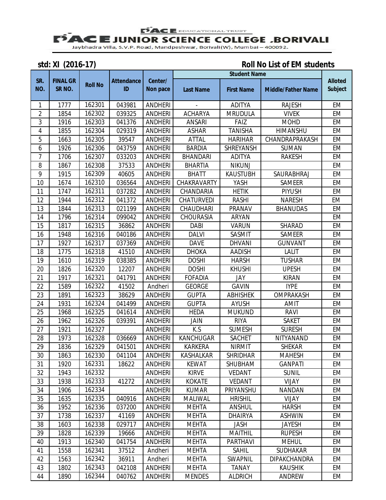**PACE** EDUCATIONAL TRUST

# **E JUNIOR SCIENCE COLLEGE ,BORIVALI**<br>Jaybhadra Villa, S.V.P. Road, Mandpeshwar, Borivali(W), Mumbai – 400092.

**std: XI (2016-17) Roll No List of EM students** 

|                |                                      | <b>Student Name</b> |                         |                     |                   |                   |                           |                                  |
|----------------|--------------------------------------|---------------------|-------------------------|---------------------|-------------------|-------------------|---------------------------|----------------------------------|
| SR.<br>NO.     | <b>FINAL GR</b><br>SR <sub>NO.</sub> | <b>Roll No</b>      | <b>Attendance</b><br>ID | Center/<br>Non pace | <b>Last Name</b>  | <b>First Name</b> | <b>Middle/Father Name</b> | <b>Alloted</b><br><b>Subject</b> |
| 1              | 1777                                 | 162301              | 043981                  | <b>ANDHERI</b>      |                   | <b>ADITYA</b>     | <b>RAJESH</b>             | <b>EM</b>                        |
| $\overline{c}$ | 1854                                 | 162302              | 039325                  | <b>ANDHERI</b>      | <b>ACHARYA</b>    | <b>MRUDULA</b>    | <b>VIVEK</b>              | EM                               |
| 3              | 1916                                 | 162303              | 041376                  | <b>ANDHERI</b>      | <b>ANSARI</b>     | FAIZ              | <b>MOHD</b>               | EM                               |
| 4              | 1855                                 | 162304              | 029319                  | <b>ANDHERI</b>      | <b>ASHAR</b>      | <b>TANISHA</b>    | HIMANSHU                  | <b>EM</b>                        |
| 5              | 1663                                 | 162305              | 39547                   | <b>ANDHERI</b>      | <b>ATTAL</b>      | <b>HARIHAR</b>    | CHANDRAPRAKASH            | <b>EM</b>                        |
| 6              | 1926                                 | 162306              | 043759                  | <b>ANDHERI</b>      | <b>BARDIA</b>     | SHREYANSH         | <b>SUMAN</b>              | <b>EM</b>                        |
| 7              | 1706                                 | 162307              | 033203                  | <b>ANDHERI</b>      | <b>BHANDARI</b>   | <b>ADITYA</b>     | <b>RAKESH</b>             | EM                               |
| 8              | 1867                                 | 162308              | 37533                   | <b>ANDHERI</b>      | <b>BHARTIA</b>    | <b>NIKUNJ</b>     |                           | <b>EM</b>                        |
| 9              | 1915                                 | 162309              | 40605                   | <b>ANDHERI</b>      | <b>BHATT</b>      | <b>KAUSTUBH</b>   | SAURABHRAJ                | EM                               |
| 10             | 1674                                 | 162310              | 036564                  | <b>ANDHERI</b>      | CHAKRAVARTY       | YASH              | <b>SAMEER</b>             | <b>EM</b>                        |
| 11             | 1747                                 | 162311              | 037282                  | <b>ANDHERI</b>      | CHANDARIA         | <b>HETIK</b>      | <b>PIYUSH</b>             | EM                               |
| 12             | 1944                                 | 162312              | 041372                  | <b>ANDHERI</b>      | <b>CHATURVEDI</b> | <b>RASHI</b>      | <b>NARESH</b>             | EM                               |
| 13             | 1844                                 | 162313              | 021199                  | <b>ANDHERI</b>      | CHAUDHARI         | PRANAV            | <b>BHANUDAS</b>           | <b>EM</b>                        |
| 14             | 1796                                 | 162314              | 099042                  | <b>ANDHERI</b>      | <b>CHOURASIA</b>  | ARYAN             |                           | EM                               |
| 15             | 1817                                 | 162315              | 36862                   | <b>ANDHERI</b>      | <b>DABI</b>       | <b>VARUN</b>      | SHARAD                    | <b>EM</b>                        |
| 16             | 1948                                 | 162316              | 040186                  | <b>ANDHERI</b>      | <b>DALVI</b>      | SASMIT            | <b>SAMEER</b>             | EM                               |
| 17             | 1927                                 | 162317              | 037369                  | <b>ANDHERI</b>      | <b>DAVE</b>       | <b>DHVANI</b>     | <b>GUNVANT</b>            | <b>EM</b>                        |
| 18             | 1775                                 | 162318              | 41510                   | <b>ANDHERI</b>      | <b>DHOKA</b>      | <b>AADISH</b>     | <b>LALIT</b>              | EM                               |
| 19             | 1610                                 | 162319              | 038385                  | <b>ANDHERI</b>      | <b>DOSHI</b>      | <b>HARSH</b>      | <b>TUSHAR</b>             | <b>EM</b>                        |
| 20             | 1826                                 | 162320              | 12207                   | <b>ANDHERI</b>      | <b>DOSHI</b>      | <b>KHUSHI</b>     | <b>UPESH</b>              | <b>EM</b>                        |
| 21             | 1917                                 | 162321              | 041791                  | <b>ANDHERI</b>      | <b>FOFADIA</b>    | JAY               | <b>KIRAN</b>              | EM                               |
| 22             | 1589                                 | 162322              | 41502                   | Andheri             | <b>GEORGE</b>     | <b>GAVIN</b>      | <b>IYPE</b>               | <b>EM</b>                        |
| 23             | 1891                                 | 162323              | 38629                   | <b>ANDHERI</b>      | <b>GUPTA</b>      | <b>ABHISHEK</b>   | OMPRAKASH                 | <b>EM</b>                        |
| 24             | 1931                                 | 162324              | 041499                  | <b>ANDHERI</b>      | <b>GUPTA</b>      | <b>AYUSH</b>      | <b>AMIT</b>               | <b>EM</b>                        |
| 25             | 1968                                 | 162325              | 041614                  | <b>ANDHERI</b>      | <b>HEDA</b>       | <b>MUKUND</b>     | <b>RAVI</b>               | EM                               |
| 26             | 1962                                 | 162326              | 039391                  | <b>ANDHERI</b>      | JAIN              | <b>RIYA</b>       | <b>SAKET</b>              | <b>EM</b>                        |
| 27             | 1921                                 | 162327              |                         | <b>ANDHERI</b>      | K.S               | <b>SUMESH</b>     | <b>SURESH</b>             | <b>EM</b>                        |
| 28             | 1973                                 | 162328              | 036669                  | <b>ANDHERI</b>      | KANCHUGAR         | <b>SACHET</b>     | NITYANAND                 | EM                               |
| 29             | 1836                                 | 162329              | 041501                  | <b>ANDHERI</b>      | <b>KARKERA</b>    | <b>NIRMIT</b>     | <b>SHEKAR</b>             | <b>EM</b>                        |
| 30             | 1863                                 | 162330              | 041104                  | ANDHERI             | KASHALKAR         | SHRIDHAR          | <b>MAHESH</b>             | EM                               |
| 31             | 1920                                 | 162331              | 18622                   | <b>ANDHERI</b>      | <b>KEWAT</b>      | SHUBHAM           | <b>GANPATI</b>            | EM                               |
| 32             | 1943                                 | 162332              |                         | <b>ANDHERI</b>      | <b>KIRVE</b>      | <b>VEDANT</b>     | <b>SUNIL</b>              | EM                               |
| 33             | 1938                                 | 162333              | 41272                   | <b>ANDHERI</b>      | <b>KOKATE</b>     | <b>VEDANT</b>     | VIJAY                     | EM                               |
| 34             | 1906                                 | 162334              |                         | <b>ANDHERI</b>      | <b>KUMAR</b>      | PRIYANSHU         | <b>NANDAN</b>             | EM                               |
| 35             | 1635                                 | 162335              | 040916                  | <b>ANDHERI</b>      | MALIWAL           | <b>HRISHIL</b>    | <b>VIJAY</b>              | EM                               |
| 36             | 1952                                 | 162336              | 037200                  | <b>ANDHERI</b>      | <b>MEHTA</b>      | <b>ANSHUL</b>     | <b>HARSH</b>              | EM                               |
| 37             | 1738                                 | 162337              | 41169                   | <b>ANDHERI</b>      | <b>MEHTA</b>      | <b>DHAIRYA</b>    | <b>ASHWIN</b>             | EM                               |
| 38             | 1603                                 | 162338              | 029717                  | ANDHERI             | <b>MEHTA</b>      | JASH              | <b>JAYESH</b>             | EM                               |
| 39             | 1828                                 | 162339              | 19666                   | <b>ANDHERI</b>      | <b>MEHTA</b>      | <b>MAITHIL</b>    | <b>RUPESH</b>             | EM                               |
| 40             | 1913                                 | 162340              | 041754                  | <b>ANDHERI</b>      | <b>MEHTA</b>      | <b>PARTHAVI</b>   | <b>MEHUL</b>              | EM                               |
| 41             | 1558                                 | 162341              | 37512                   | Andheri             | <b>MEHTA</b>      | <b>SAHIL</b>      | <b>SUDHAKAR</b>           | EM                               |
| 42             | 1563                                 | 162342              | 36911                   | Andheri             | <b>MEHTA</b>      | SWAPNIL           | <b>DIPAKCHANDRA</b>       | EM                               |
| 43             | 1802                                 | 162343              | 042108                  | <b>ANDHERI</b>      | <b>MEHTA</b>      | <b>TANAY</b>      | <b>KAUSHIK</b>            | EM                               |
| 44             | 1890                                 | 162344              | 040762                  | <b>ANDHERI</b>      | <b>MENDES</b>     | <b>ALDRICH</b>    | ANDREW                    | EM                               |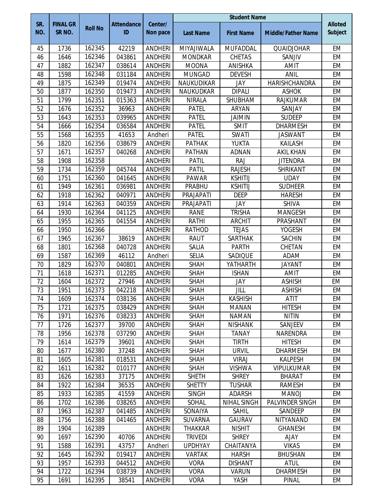|            |                                      |                |                         | <b>Student Name</b> |                  |                    |                           |                                  |
|------------|--------------------------------------|----------------|-------------------------|---------------------|------------------|--------------------|---------------------------|----------------------------------|
| SR.<br>NO. | <b>FINAL GR</b><br>SR <sub>NO.</sub> | <b>Roll No</b> | <b>Attendance</b><br>ID | Center/<br>Non pace | <b>Last Name</b> | <b>First Name</b>  | <b>Middle/Father Name</b> | <b>Alloted</b><br><b>Subject</b> |
| 45         | 1736                                 | 162345         | 42219                   | <b>ANDHERI</b>      | MIYAJIWALA       | <b>MUFADDAL</b>    | QUAIDJOHAR                | <b>EM</b>                        |
| 46         | 1646                                 | 162346         | 043861                  | <b>ANDHERI</b>      | <b>MONDKAR</b>   | <b>CHETAS</b>      | SANJIV                    | EM                               |
| 47         | 1882                                 | 162347         | 038614                  | <b>ANDHERI</b>      | <b>MOONA</b>     | ANISHKA            | <b>AMIT</b>               | <b>EM</b>                        |
| 48         | 1598                                 | 162348         | 031184                  | <b>ANDHERI</b>      | <b>MUNGAD</b>    | <b>DEVESH</b>      | <b>ANIL</b>               | <b>EM</b>                        |
| 49         | 1875                                 | 162349         | 019474                  | <b>ANDHERI</b>      | NAUKUDIKAR       | JAY                | HARISHCHANDRA             | <b>EM</b>                        |
| 50         | 1877                                 | 162350         | 019473                  | <b>ANDHERI</b>      | <b>NAUKUDKAR</b> | <b>DIPALI</b>      | <b>ASHOK</b>              | <b>EM</b>                        |
| 51         | 1799                                 | 162351         | 015363                  | <b>ANDHERI</b>      | <b>NIRALA</b>    | SHUBHAM            | <b>RAJKUMAR</b>           | EM                               |
| 52         | 1676                                 | 162352         | 36963                   | <b>ANDHERI</b>      | <b>PATEL</b>     | <b>ARYAN</b>       | SANJAY                    | <b>EM</b>                        |
| 53         | 1643                                 | 162353         | 039965                  | <b>ANDHERI</b>      | <b>PATEL</b>     | <b>JAIMIN</b>      | <b>SUDEEP</b>             | <b>EM</b>                        |
| 54         | 1666                                 | 162354         | 036584                  | <b>ANDHERI</b>      | <b>PATEL</b>     | SMIT               | <b>DHARMESH</b>           | <b>EM</b>                        |
| 55         | 1568                                 | 162355         | 41653                   | Andheri             | <b>PATEL</b>     | <b>SWATI</b>       | <b>JASWANT</b>            | <b>EM</b>                        |
| 56         | 1820                                 | 162356         | 038679                  | <b>ANDHERI</b>      | <b>PATHAK</b>    | <b>YUKTA</b>       | <b>KAILASH</b>            | <b>EM</b>                        |
| 57         | 1671                                 | 162357         | 040268                  | <b>ANDHERI</b>      | <b>PATHAN</b>    | <b>ADNAN</b>       | <b>AKIL KHAN</b>          | <b>EM</b>                        |
| 58         | 1908                                 | 162358         |                         | <b>ANDHERI</b>      | <b>PATIL</b>     | <b>RAJ</b>         | <b>JITENDRA</b>           | EM                               |
| 59         | 1734                                 | 162359         | 045744                  | <b>ANDHERI</b>      | <b>PATIL</b>     | <b>RAJESH</b>      | <b>SHRIKANT</b>           | <b>EM</b>                        |
| 60         | 1751                                 | 162360         | 041645                  | <b>ANDHERI</b>      | <b>PAWAR</b>     | <b>KSHITIJ</b>     | <b>UDAY</b>               | <b>EM</b>                        |
| 61         | 1949                                 | 162361         | 036981                  | <b>ANDHERI</b>      | PRABHU           | <b>KSHITIJ</b>     | <b>SUDHEER</b>            | <b>EM</b>                        |
| 62         | 1918                                 | 162362         | 040971                  | <b>ANDHERI</b>      | PRAJAPATI        | <b>DEEP</b>        | <b>HARESH</b>             | <b>EM</b>                        |
| 63         | 1914                                 | 162363         | 040359                  | <b>ANDHERI</b>      | PRAJAPATI        | JAY                | <b>SHIVA</b>              | <b>EM</b>                        |
| 64         | 1930                                 | 162364         | 041125                  | <b>ANDHERI</b>      | <b>RANE</b>      | <b>TRISHA</b>      | <b>MANGESH</b>            | <b>EM</b>                        |
| 65         | 1955                                 | 162365         | 041554                  | <b>ANDHERI</b>      | <b>RATHI</b>     | <b>ARCHIT</b>      | PRASHANT                  | EM                               |
| 66         | 1950                                 | 162366         |                         | <b>ANDHERI</b>      | <b>RATHOD</b>    | <b>TEJAS</b>       | <b>YOGESH</b>             | <b>EM</b>                        |
| 67         | 1965                                 | 162367         | 38619                   | <b>ANDHERI</b>      | <b>RAUT</b>      | <b>SARTHAK</b>     | <b>SACHIN</b>             | EM                               |
| 68         | 1801                                 | 162368         | 040728                  | <b>ANDHERI</b>      | SALIA            | <b>PARTH</b>       | CHETAN                    | <b>EM</b>                        |
| 69         | 1587                                 | 162369         | 46112                   | Andheri             | <b>SELIA</b>     | SADIQUE            | ADAM                      | <b>EM</b>                        |
| 70         | 1829                                 | 162370         | 040801                  | <b>ANDHERI</b>      | <b>SHAH</b>      | YATHARTH           | <b>JAYANT</b>             | <b>EM</b>                        |
| 71         | 1618                                 | 162371         | 012285                  | <b>ANDHERI</b>      | <b>SHAH</b>      | <b>ISHAN</b>       | <b>AMIT</b>               | <b>EM</b>                        |
| 72         | 1604                                 | 162372         | 27946                   | <b>ANDHERI</b>      | <b>SHAH</b>      | JAY                | <b>ASHISH</b>             | EM                               |
| 73         | 1951                                 | 162373         | 042218                  | <b>ANDHERI</b>      | <b>SHAH</b>      | JILL               | <b>ASHISH</b>             | <b>EM</b>                        |
| 74         | 1609                                 | 162374         | 038136                  | <b>ANDHERI</b>      | <b>SHAH</b>      | <b>KASHISH</b>     | <b>ATIT</b>               | EM                               |
| 75         | 1721                                 | 162375         | 038429                  | <b>ANDHERI</b>      | <b>SHAH</b>      | <b>MANAN</b>       | <b>HITESH</b>             | EM                               |
| 76         | 1971                                 | 162376         | 038233                  | <b>ANDHERI</b>      | <b>SHAH</b>      | <b>NAMAN</b>       | <b>NITIN</b>              | EM                               |
| 77         | 1726                                 | 162377         | 39700                   | <b>ANDHERI</b>      | <b>SHAH</b>      | <b>NISHANK</b>     | SANJEEV                   | EM                               |
| 78         | 1956                                 | 162378         | 037290                  | <b>ANDHERI</b>      | <b>SHAH</b>      | <b>TANAY</b>       | <b>NARENDRA</b>           | EM                               |
| 79         | 1614                                 | 162379         | 39601                   | <b>ANDHERI</b>      | <b>SHAH</b>      | <b>TIRTH</b>       | <b>HITESH</b>             | EM                               |
| 80         | 1677                                 | 162380         | 37248                   | <b>ANDHERI</b>      | <b>SHAH</b>      | <b>URVIL</b>       | <b>DHARMESH</b>           | EM                               |
| 81         | 1605                                 | 162381         | 018531                  | <b>ANDHERI</b>      | <b>SHAH</b>      | <b>VIRAJ</b>       | <b>KALPESH</b>            | EM                               |
| 82         | 1611                                 | 162382         | 010177                  | <b>ANDHERI</b>      | <b>SHAH</b>      | <b>VISHWA</b>      | <b>VIPULKUMAR</b>         | EM                               |
| 83         | 1626                                 | 162383         | 37175                   | <b>ANDHERI</b>      | <b>SHETH</b>     | <b>SHREY</b>       | <b>BHARAT</b>             | EM                               |
| 84         | 1922                                 | 162384         | 36535                   | <b>ANDHERI</b>      | <b>SHETTY</b>    | <b>TUSHAR</b>      | <b>RAMESH</b>             | EM                               |
| 85         | 1933                                 | 162385         | 41559                   | <b>ANDHERI</b>      | <b>SINGH</b>     | ADARSH             | <b>MANOJ</b>              | EM                               |
| 86         | 1702                                 | 162386         | 038265                  | <b>ANDHERI</b>      | SOHAL            | <b>NIHAL SINGH</b> | PALVINDER SINGH           | EM                               |
| 87         | 1963                                 | 162387         | 041485                  | <b>ANDHERI</b>      | SONAIYA          | <b>SAHIL</b>       | SANDEEP                   | EM                               |
| 88         | 1756                                 | 162388         | 041465                  | <b>ANDHERI</b>      | SUVARNA          | <b>GAURAV</b>      | NITYANAND                 | EM                               |
| 89         | 1904                                 | 162389         |                         | <b>ANDHERI</b>      | <b>THAKKAR</b>   | <b>NISHIT</b>      | <b>GHANESH</b>            | <b>EM</b>                        |
| 90         | 1697                                 | 162390         | 40706                   | <b>ANDHERI</b>      | <b>TRIVEDI</b>   | <b>SHREY</b>       | <b>AJAY</b>               | EM                               |
| 91         | 1588                                 | 162391         | 43757                   | Andheri             | <b>UPDHYAY</b>   | CHAITANYA          | <b>VIKAS</b>              | EM                               |
| 92         | 1645                                 | 162392         | 019417                  | <b>ANDHERI</b>      | <b>VARTAK</b>    | <b>HARSH</b>       | <b>BHUSHAN</b>            | EM                               |
| 93         | 1957                                 | 162393         | 044512                  | <b>ANDHERI</b>      | <b>VORA</b>      | <b>DISHANT</b>     | <b>ATUL</b>               | EM                               |
| 94         | 1722                                 | 162394         | 038739                  | <b>ANDHERI</b>      | <b>VORA</b>      | <b>VARUN</b>       | <b>DHARMESH</b>           | EM                               |
| 95         | 1691                                 | 162395         | 38541                   | <b>ANDHERI</b>      | <b>VORA</b>      | YASH               | <b>PINAL</b>              | EM                               |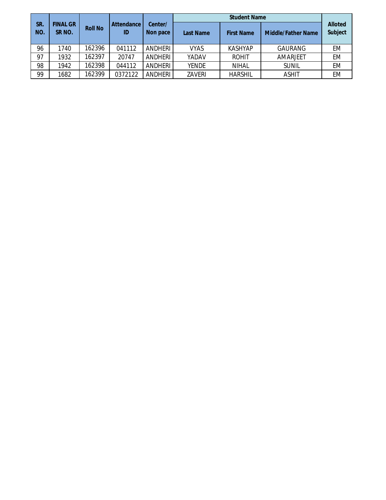| SR.<br>NO. | <b>FINAL GR</b><br>SR <sub>NO</sub> . | <b>Roll No</b> | <b>Attendance</b><br>ID | Center/<br>Non pace | <b>Last Name</b> | <b>First Name</b> | <b>Middle/Father Name</b> | <b>Alloted</b><br><b>Subject</b> |
|------------|---------------------------------------|----------------|-------------------------|---------------------|------------------|-------------------|---------------------------|----------------------------------|
| 96         | 1740                                  | 162396         | 041112                  | ANDHERI             | <b>VYAS</b>      | <b>KASHYAP</b>    | <b>GAURANG</b>            | EМ                               |
| 97         | 1932                                  | 162397         | 20747                   | ANDHERI             | YADAV            | <b>ROHIT</b>      | AMARJEET                  | EM                               |
| 98         | 1942                                  | 162398         | 044112                  | ANDHERI             | <b>YENDE</b>     | <b>NIHAL</b>      | <b>SUNIL</b>              | EM                               |
| 99         | 1682                                  | 162399         | 0372122                 | ANDHERI             | ZAVERI           | <b>HARSHIL</b>    | <b>ASHIT</b>              | EM                               |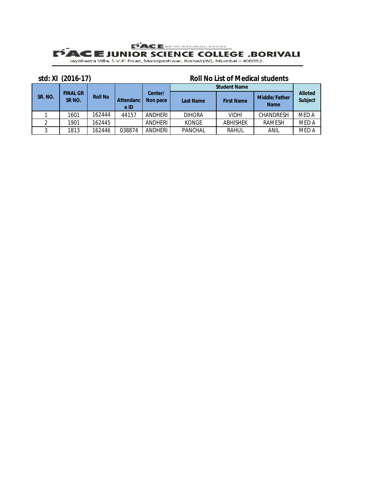## **PACE** EDUCATIONAL TRUST **E JUNIOR SCIENCE COLLEGE .BORIVALI**<br>Jaybhadra Villa, S.V.P. Road, Mandpeshwar, Borivali(W), Mumbai – 400092.

#### **std: XI (2016-17) Roll No List of Medical students**

|         |                                       |                |                          |                     | <b>Student Name</b> |                   |                                     |                                  |  |
|---------|---------------------------------------|----------------|--------------------------|---------------------|---------------------|-------------------|-------------------------------------|----------------------------------|--|
| SR. NO. | <b>FINAL GR</b><br>SR <sub>NO</sub> . | <b>Roll No</b> | <b>Attendanc</b><br>e ID | Center/<br>Non pace | <b>Last Name</b>    | <b>First Name</b> | <b>Middle/Father</b><br><b>Name</b> | <b>Alloted</b><br><b>Subject</b> |  |
|         | 1601                                  | 162444         | 44157                    | ANDHERI             | <b>DIHORA</b>       | <b>VIDHI</b>      | <b>CHANDRESH</b>                    | <b>MED A</b>                     |  |
|         | 1901                                  | 162445         |                          | ANDHERI             | <b>KONGE</b>        | <b>ABHISHEK</b>   | <b>RAMESH</b>                       | <b>MED A</b>                     |  |
|         | 1813                                  | 162446         | 038874                   | ANDHERI             | <b>PANCHAL</b>      | <b>RAHUL</b>      | ANIL                                | <b>MED A</b>                     |  |